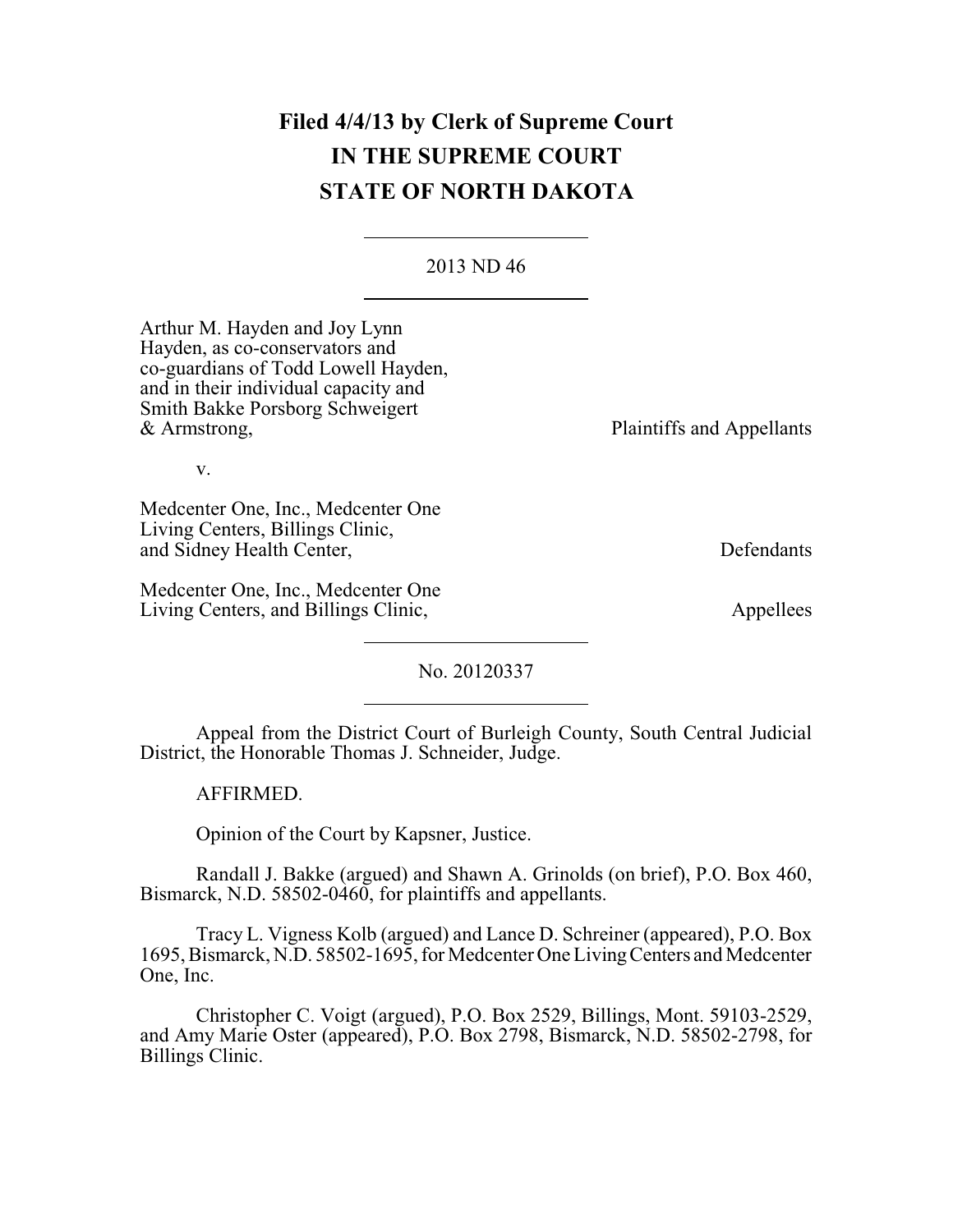# **Filed 4/4/13 by Clerk of Supreme Court IN THE SUPREME COURT STATE OF NORTH DAKOTA**

2013 ND 46

Arthur M. Hayden and Joy Lynn Hayden, as co-conservators and co-guardians of Todd Lowell Hayden, and in their individual capacity and Smith Bakke Porsborg Schweigert & Armstrong,

Plaintiffs and Appellants

v.

Medcenter One, Inc., Medcenter One Living Centers, Billings Clinic, and Sidney Health Center, Defendants

Medcenter One, Inc., Medcenter One Living Centers, and Billings Clinic, Appellees

No. 20120337

Appeal from the District Court of Burleigh County, South Central Judicial District, the Honorable Thomas J. Schneider, Judge.

AFFIRMED.

Opinion of the Court by Kapsner, Justice.

Randall J. Bakke (argued) and Shawn A. Grinolds (on brief), P.O. Box 460, Bismarck, N.D. 58502-0460, for plaintiffs and appellants.

Tracy L. Vigness Kolb (argued) and Lance D. Schreiner (appeared), P.O. Box 1695, Bismarck, N.D. 58502-1695, for Medcenter One LivingCenters and Medcenter One, Inc.

Christopher C. Voigt (argued), P.O. Box 2529, Billings, Mont. 59103-2529, and Amy Marie Oster (appeared), P.O. Box 2798, Bismarck, N.D. 58502-2798, for Billings Clinic.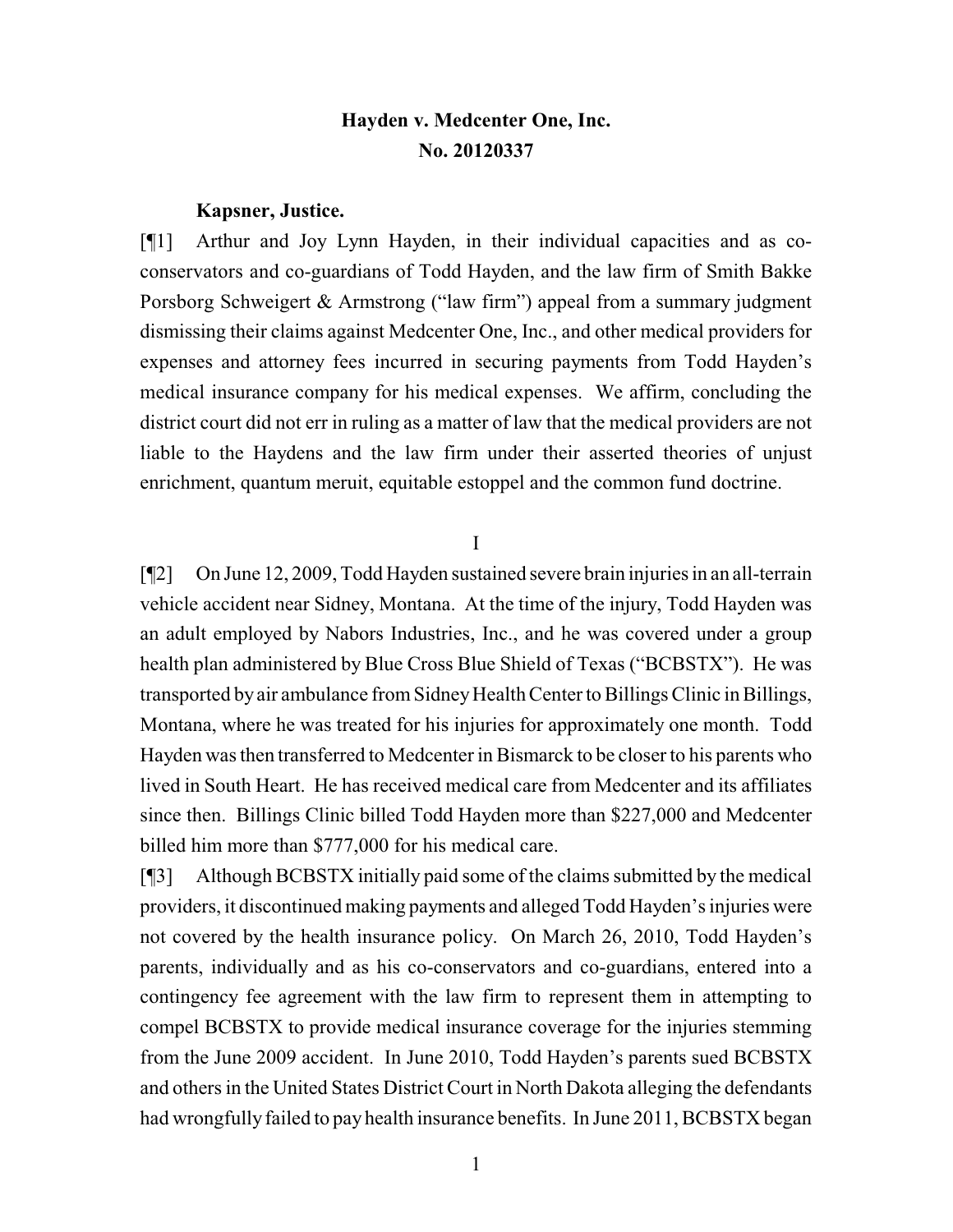# **Hayden v. Medcenter One, Inc. No. 20120337**

#### **Kapsner, Justice.**

[¶1] Arthur and Joy Lynn Hayden, in their individual capacities and as coconservators and co-guardians of Todd Hayden, and the law firm of Smith Bakke Porsborg Schweigert & Armstrong ("law firm") appeal from a summary judgment dismissing their claims against Medcenter One, Inc., and other medical providers for expenses and attorney fees incurred in securing payments from Todd Hayden's medical insurance company for his medical expenses. We affirm, concluding the district court did not err in ruling as a matter of law that the medical providers are not liable to the Haydens and the law firm under their asserted theories of unjust enrichment, quantum meruit, equitable estoppel and the common fund doctrine.

I

[¶2] On June 12, 2009, Todd Hayden sustained severe brain injuries in an all-terrain vehicle accident near Sidney, Montana. At the time of the injury, Todd Hayden was an adult employed by Nabors Industries, Inc., and he was covered under a group health plan administered by Blue Cross Blue Shield of Texas ("BCBSTX"). He was transported by air ambulance from Sidney Health Center to Billings Clinic in Billings, Montana, where he was treated for his injuries for approximately one month. Todd Hayden was then transferred to Medcenter in Bismarck to be closer to his parents who lived in South Heart. He has received medical care from Medcenter and its affiliates since then. Billings Clinic billed Todd Hayden more than \$227,000 and Medcenter billed him more than \$777,000 for his medical care.

[¶3] Although BCBSTX initially paid some of the claims submitted by the medical providers, it discontinued making payments and alleged Todd Hayden's injuries were not covered by the health insurance policy. On March 26, 2010, Todd Hayden's parents, individually and as his co-conservators and co-guardians, entered into a contingency fee agreement with the law firm to represent them in attempting to compel BCBSTX to provide medical insurance coverage for the injuries stemming from the June 2009 accident. In June 2010, Todd Hayden's parents sued BCBSTX and others in the United States District Court in North Dakota alleging the defendants had wrongfully failed to pay health insurance benefits. In June 2011, BCBSTX began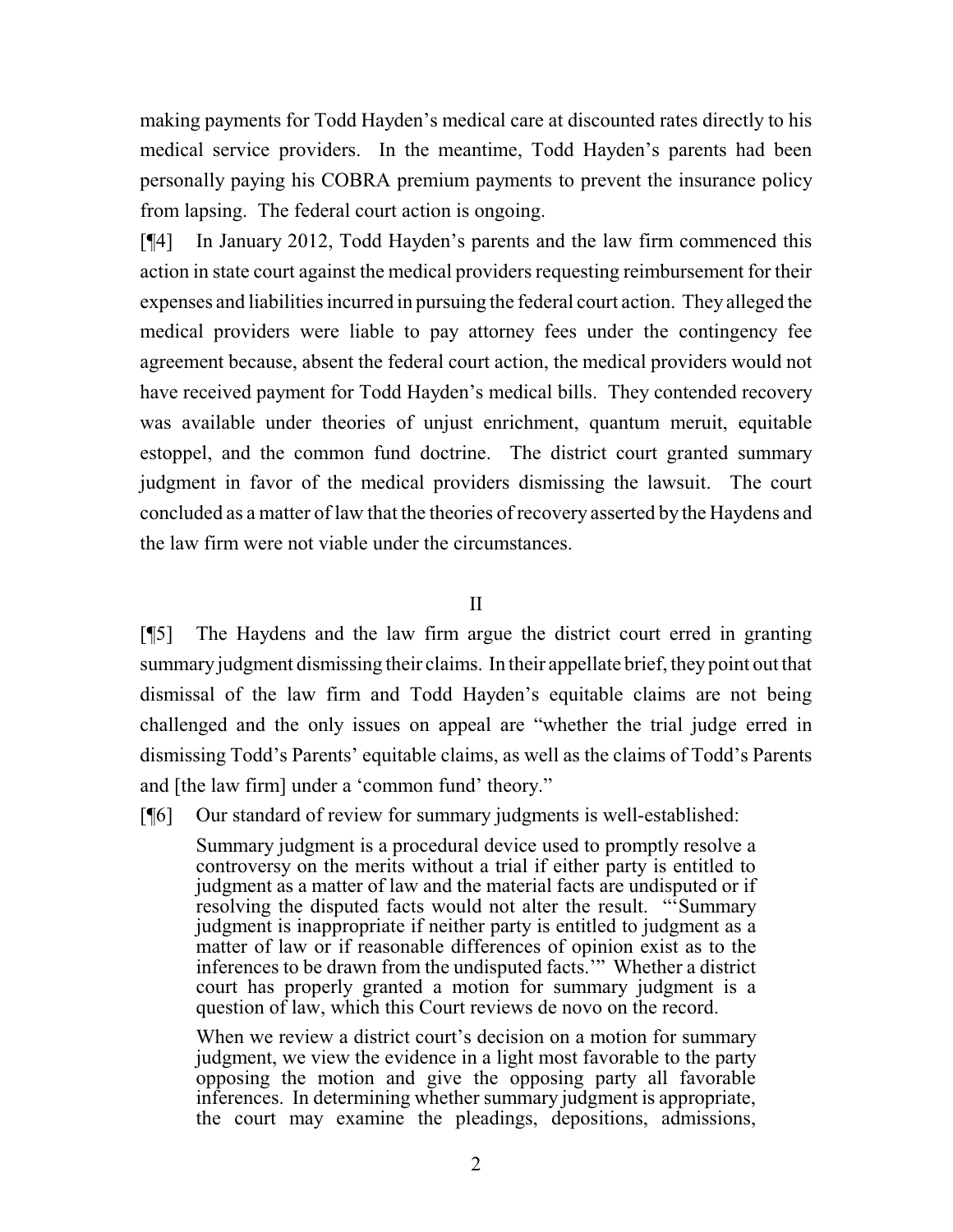making payments for Todd Hayden's medical care at discounted rates directly to his medical service providers. In the meantime, Todd Hayden's parents had been personally paying his COBRA premium payments to prevent the insurance policy from lapsing. The federal court action is ongoing.

[¶4] In January 2012, Todd Hayden's parents and the law firm commenced this action in state court against the medical providers requesting reimbursement for their expenses and liabilities incurred in pursuing the federal court action. They alleged the medical providers were liable to pay attorney fees under the contingency fee agreement because, absent the federal court action, the medical providers would not have received payment for Todd Hayden's medical bills. They contended recovery was available under theories of unjust enrichment, quantum meruit, equitable estoppel, and the common fund doctrine. The district court granted summary judgment in favor of the medical providers dismissing the lawsuit. The court concluded as a matter of law that the theories of recovery asserted by the Haydens and the law firm were not viable under the circumstances.

II

[¶5] The Haydens and the law firm argue the district court erred in granting summary judgment dismissing their claims. In their appellate brief, they point out that dismissal of the law firm and Todd Hayden's equitable claims are not being challenged and the only issues on appeal are "whether the trial judge erred in dismissing Todd's Parents' equitable claims, as well as the claims of Todd's Parents and [the law firm] under a 'common fund' theory."

[¶6] Our standard of review for summary judgments is well-established:

Summary judgment is a procedural device used to promptly resolve a controversy on the merits without a trial if either party is entitled to judgment as a matter of law and the material facts are undisputed or if resolving the disputed facts would not alter the result. "'Summary judgment is inappropriate if neither party is entitled to judgment as a matter of law or if reasonable differences of opinion exist as to the inferences to be drawn from the undisputed facts.'" Whether a district court has properly granted a motion for summary judgment is a question of law, which this Court reviews de novo on the record.

When we review a district court's decision on a motion for summary judgment, we view the evidence in a light most favorable to the party opposing the motion and give the opposing party all favorable inferences. In determining whether summary judgment is appropriate, the court may examine the pleadings, depositions, admissions,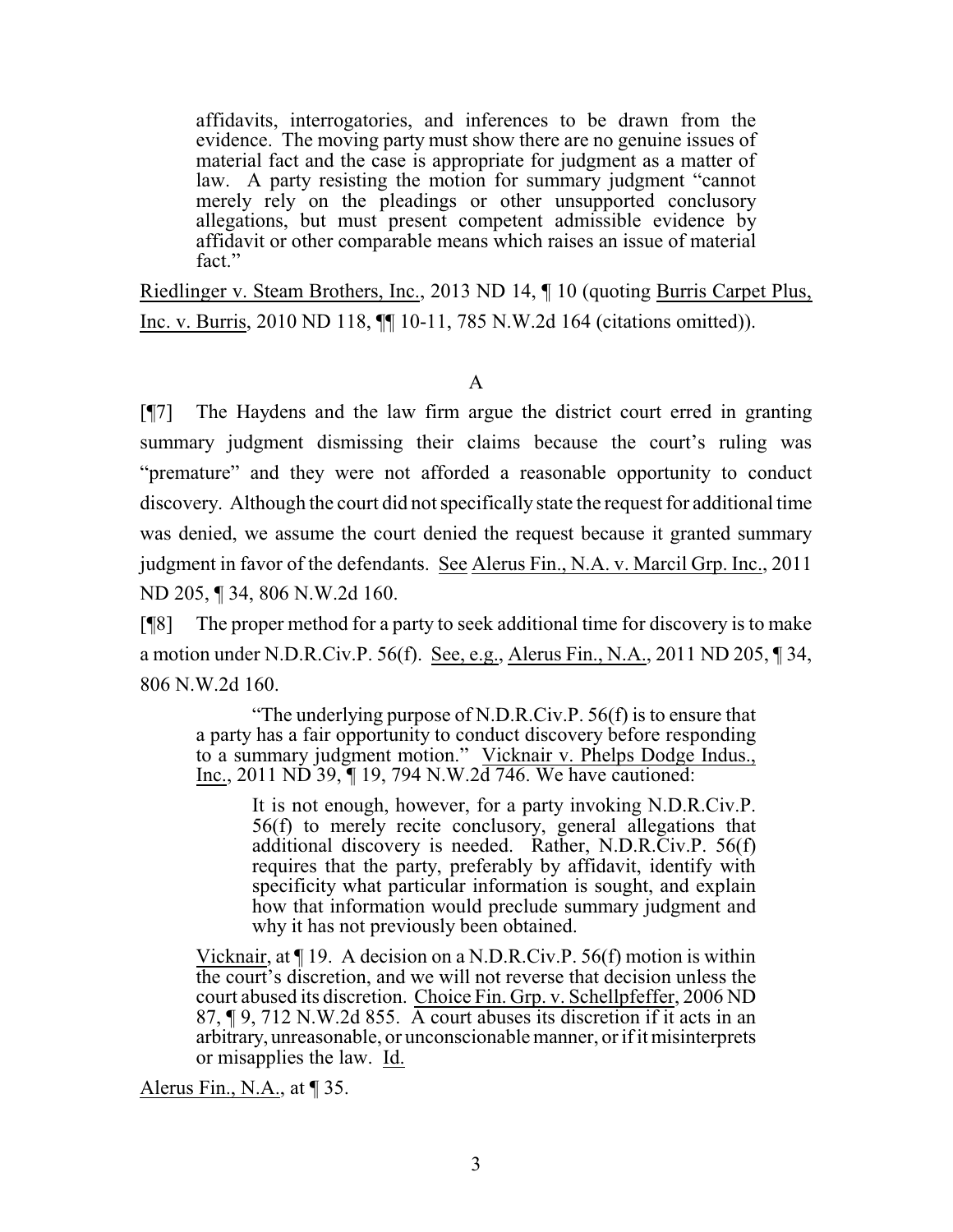affidavits, interrogatories, and inferences to be drawn from the evidence. The moving party must show there are no genuine issues of material fact and the case is appropriate for judgment as a matter of law. A party resisting the motion for summary judgment "cannot merely rely on the pleadings or other unsupported conclusory allegations, but must present competent admissible evidence by affidavit or other comparable means which raises an issue of material fact."

Riedlinger v. Steam Brothers, Inc., 2013 ND 14, ¶ 10 (quoting Burris Carpet Plus, Inc. v. Burris, 2010 ND 118, ¶¶ 10-11, 785 N.W.2d 164 (citations omitted)).

# A

[¶7] The Haydens and the law firm argue the district court erred in granting summary judgment dismissing their claims because the court's ruling was "premature" and they were not afforded a reasonable opportunity to conduct discovery. Although the court did not specifically state the request for additional time was denied, we assume the court denied the request because it granted summary judgment in favor of the defendants. See Alerus Fin., N.A. v. Marcil Grp. Inc., 2011 ND 205, ¶ 34, 806 N.W.2d 160.

[¶8] The proper method for a party to seek additional time for discovery is to make a motion under N.D.R.Civ.P. 56(f). See, e.g., Alerus Fin., N.A., 2011 ND 205, ¶ 34, 806 N.W.2d 160.

"The underlying purpose of N.D.R.Civ.P. 56(f) is to ensure that a party has a fair opportunity to conduct discovery before responding to a summary judgment motion." Vicknair v. Phelps Dodge Indus., Inc., 2011 ND 39,  $\P$  19, 794 N.W.2d 746. We have cautioned:

> It is not enough, however, for a party invoking N.D.R.Civ.P. 56(f) to merely recite conclusory, general allegations that additional discovery is needed. Rather, N.D.R.Civ.P. 56(f) requires that the party, preferably by affidavit, identify with specificity what particular information is sought, and explain how that information would preclude summary judgment and why it has not previously been obtained.

Vicknair, at ¶ 19. A decision on a N.D.R.Civ.P. 56(f) motion is within the court's discretion, and we will not reverse that decision unless the court abused its discretion. Choice Fin. Grp. v. Schellpfeffer, 2006 ND 87, ¶ 9, 712 N.W.2d 855. A court abuses its discretion if it acts in an arbitrary, unreasonable, or unconscionable manner, or ifit misinterprets or misapplies the law. Id.

Alerus Fin., N.A., at  $\P$  35.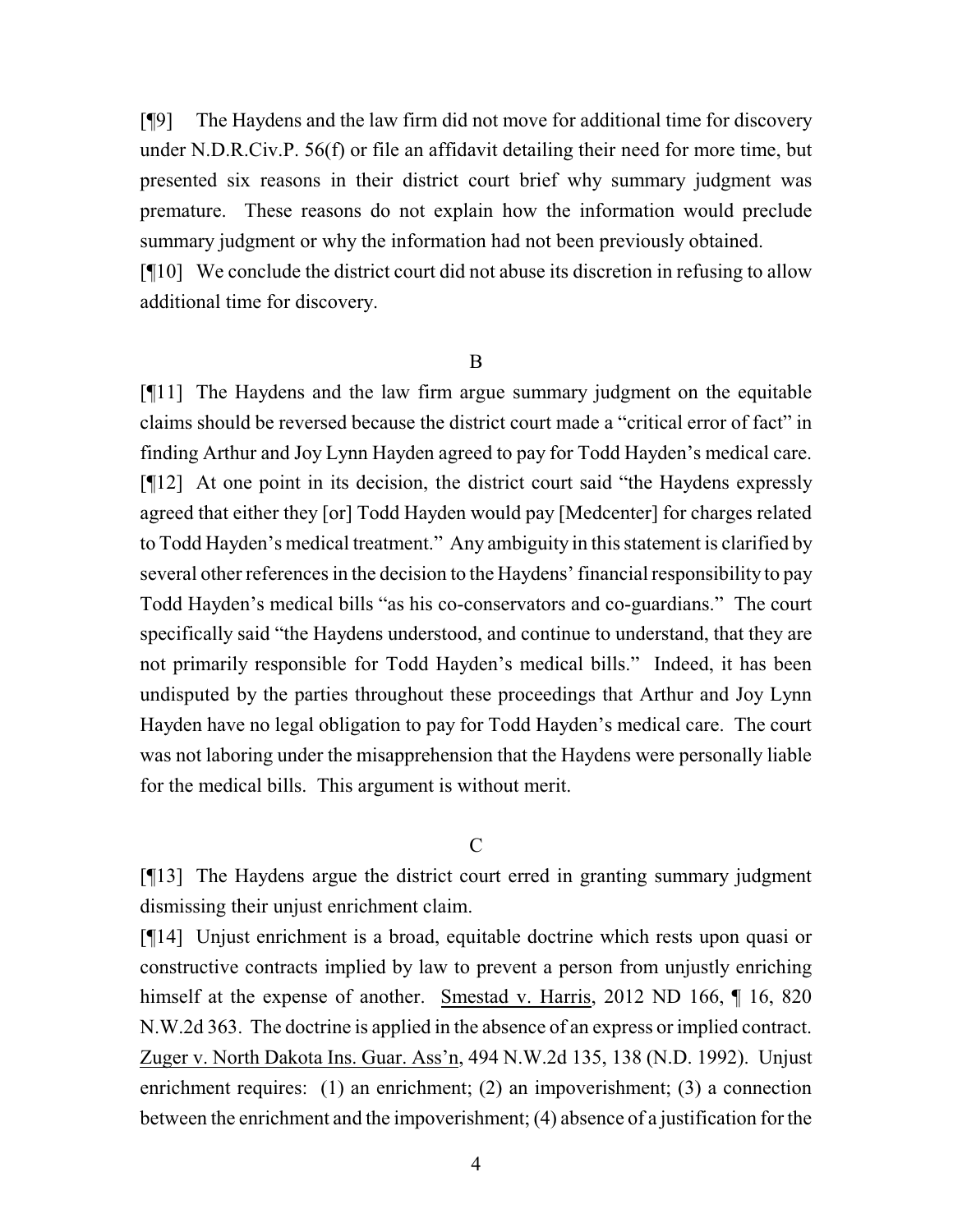[¶9] The Haydens and the law firm did not move for additional time for discovery under N.D.R.Civ.P. 56(f) or file an affidavit detailing their need for more time, but presented six reasons in their district court brief why summary judgment was premature. These reasons do not explain how the information would preclude summary judgment or why the information had not been previously obtained.

[¶10] We conclude the district court did not abuse its discretion in refusing to allow additional time for discovery.

#### B

[¶11] The Haydens and the law firm argue summary judgment on the equitable claims should be reversed because the district court made a "critical error of fact" in finding Arthur and Joy Lynn Hayden agreed to pay for Todd Hayden's medical care. [¶12] At one point in its decision, the district court said "the Haydens expressly agreed that either they [or] Todd Hayden would pay [Medcenter] for charges related to Todd Hayden's medical treatment." Any ambiguity in this statement is clarified by several other references in the decision to the Haydens' financial responsibility to pay Todd Hayden's medical bills "as his co-conservators and co-guardians." The court specifically said "the Haydens understood, and continue to understand, that they are not primarily responsible for Todd Hayden's medical bills." Indeed, it has been undisputed by the parties throughout these proceedings that Arthur and Joy Lynn Hayden have no legal obligation to pay for Todd Hayden's medical care. The court was not laboring under the misapprehension that the Haydens were personally liable for the medical bills. This argument is without merit.

#### $\overline{C}$

[¶13] The Haydens argue the district court erred in granting summary judgment dismissing their unjust enrichment claim.

[¶14] Unjust enrichment is a broad, equitable doctrine which rests upon quasi or constructive contracts implied by law to prevent a person from unjustly enriching himself at the expense of another. Smestad v. Harris, 2012 ND 166, ¶ 16, 820 N.W.2d 363. The doctrine is applied in the absence of an express or implied contract. Zuger v. North Dakota Ins. Guar. Ass'n, 494 N.W.2d 135, 138 (N.D. 1992). Unjust enrichment requires: (1) an enrichment; (2) an impoverishment; (3) a connection between the enrichment and the impoverishment; (4) absence of a justification for the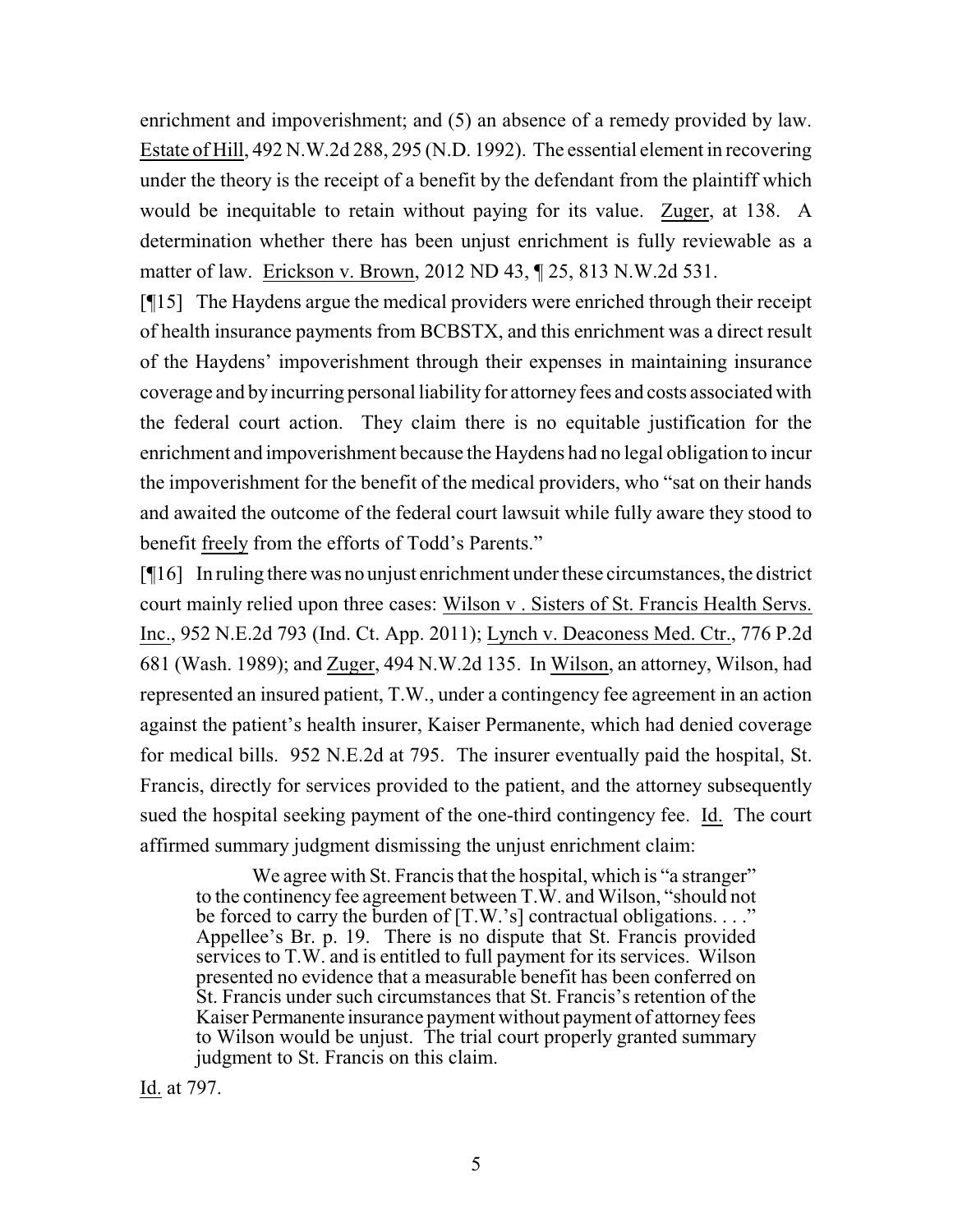enrichment and impoverishment; and (5) an absence of a remedy provided by law. Estate of Hill, 492 N.W.2d 288, 295 (N.D. 1992). The essential element in recovering under the theory is the receipt of a benefit by the defendant from the plaintiff which would be inequitable to retain without paying for its value. Zuger, at 138. A determination whether there has been unjust enrichment is fully reviewable as a matter of law. Erickson v. Brown, 2012 ND 43, ¶ 25, 813 N.W.2d 531.

[¶15] The Haydens argue the medical providers were enriched through their receipt of health insurance payments from BCBSTX, and this enrichment was a direct result of the Haydens' impoverishment through their expenses in maintaining insurance coverage and byincurring personal liability for attorneyfees and costs associated with the federal court action. They claim there is no equitable justification for the enrichment and impoverishment because the Haydens had no legal obligation to incur the impoverishment for the benefit of the medical providers, who "sat on their hands and awaited the outcome of the federal court lawsuit while fully aware they stood to benefit freely from the efforts of Todd's Parents."

[¶16] In ruling there was no unjust enrichment under these circumstances, the district court mainly relied upon three cases: Wilson v . Sisters of St. Francis Health Servs. Inc., 952 N.E.2d 793 (Ind. Ct. App. 2011); Lynch v. Deaconess Med. Ctr., 776 P.2d 681 (Wash. 1989); and Zuger, 494 N.W.2d 135. In Wilson, an attorney, Wilson, had represented an insured patient, T.W., under a contingency fee agreement in an action against the patient's health insurer, Kaiser Permanente, which had denied coverage for medical bills. 952 N.E.2d at 795. The insurer eventually paid the hospital, St. Francis, directly for services provided to the patient, and the attorney subsequently sued the hospital seeking payment of the one-third contingency fee. Id. The court affirmed summary judgment dismissing the unjust enrichment claim:

We agree with St. Francis that the hospital, which is "a stranger" to the continency fee agreement between T.W. and Wilson, "should not be forced to carry the burden of  $[T.W.'s]$  contractual obligations. . . ." Appellee's Br. p. 19. There is no dispute that St. Francis provided services to T.W. and is entitled to full payment for its services. Wilson presented no evidence that a measurable benefit has been conferred on St. Francis under such circumstances that St. Francis's retention of the Kaiser Permanente insurance payment without payment of attorney fees to Wilson would be unjust. The trial court properly granted summary judgment to St. Francis on this claim.

Id. at 797.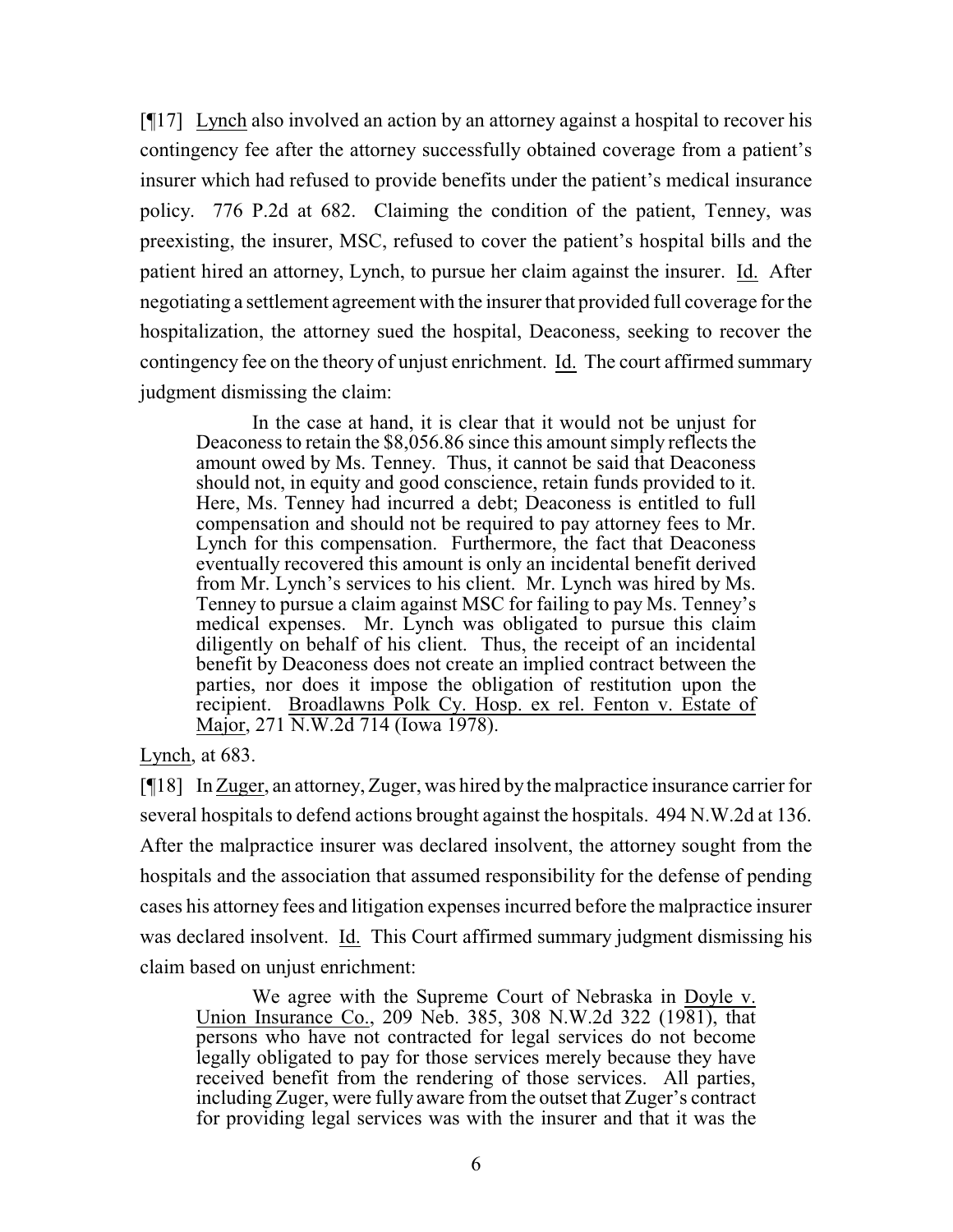[¶17] Lynch also involved an action by an attorney against a hospital to recover his contingency fee after the attorney successfully obtained coverage from a patient's insurer which had refused to provide benefits under the patient's medical insurance policy. 776 P.2d at 682. Claiming the condition of the patient, Tenney, was preexisting, the insurer, MSC, refused to cover the patient's hospital bills and the patient hired an attorney, Lynch, to pursue her claim against the insurer. Id. After negotiating a settlement agreement with the insurer that provided full coverage for the hospitalization, the attorney sued the hospital, Deaconess, seeking to recover the contingency fee on the theory of unjust enrichment. Id. The court affirmed summary judgment dismissing the claim:

In the case at hand, it is clear that it would not be unjust for Deaconess to retain the \$8,056.86 since this amount simply reflects the amount owed by Ms. Tenney. Thus, it cannot be said that Deaconess should not, in equity and good conscience, retain funds provided to it. Here, Ms. Tenney had incurred a debt; Deaconess is entitled to full compensation and should not be required to pay attorney fees to Mr. Lynch for this compensation. Furthermore, the fact that Deaconess eventually recovered this amount is only an incidental benefit derived from Mr. Lynch's services to his client. Mr. Lynch was hired by Ms. Tenney to pursue a claim against MSC for failing to pay Ms. Tenney's medical expenses. Mr. Lynch was obligated to pursue this claim diligently on behalf of his client. Thus, the receipt of an incidental benefit by Deaconess does not create an implied contract between the parties, nor does it impose the obligation of restitution upon the recipient. Broadlawns Polk Cy. Hosp. ex rel. Fenton v. Estate of Major, 271 N.W.2d 714 (Iowa 1978).

Lynch, at 683.

[¶18] In Zuger, an attorney, Zuger, was hired by the malpractice insurance carrier for several hospitals to defend actions brought against the hospitals. 494 N.W.2d at 136. After the malpractice insurer was declared insolvent, the attorney sought from the hospitals and the association that assumed responsibility for the defense of pending cases his attorney fees and litigation expenses incurred before the malpractice insurer was declared insolvent. Id. This Court affirmed summary judgment dismissing his claim based on unjust enrichment:

We agree with the Supreme Court of Nebraska in Doyle v. Union Insurance Co., 209 Neb. 385, 308 N.W.2d 322 (1981), that persons who have not contracted for legal services do not become legally obligated to pay for those services merely because they have received benefit from the rendering of those services. All parties, including Zuger, were fully aware from the outset that Zuger's contract for providing legal services was with the insurer and that it was the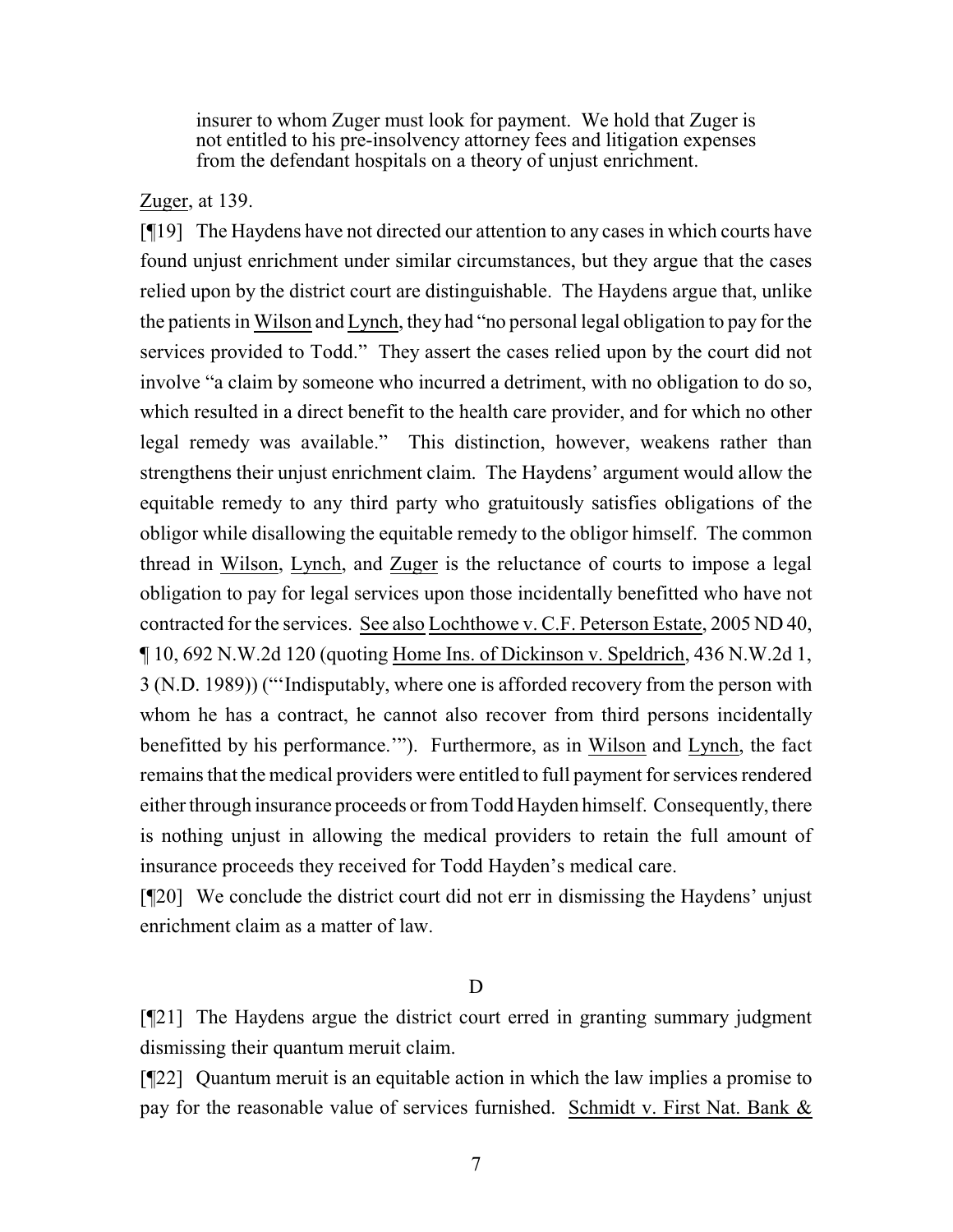insurer to whom Zuger must look for payment. We hold that Zuger is not entitled to his pre-insolvency attorney fees and litigation expenses from the defendant hospitals on a theory of unjust enrichment.

### Zuger, at 139.

[¶19] The Haydens have not directed our attention to any cases in which courts have found unjust enrichment under similar circumstances, but they argue that the cases relied upon by the district court are distinguishable. The Haydens argue that, unlike the patients in Wilson and Lynch, they had "no personal legal obligation to pay for the services provided to Todd." They assert the cases relied upon by the court did not involve "a claim by someone who incurred a detriment, with no obligation to do so, which resulted in a direct benefit to the health care provider, and for which no other legal remedy was available." This distinction, however, weakens rather than strengthens their unjust enrichment claim. The Haydens' argument would allow the equitable remedy to any third party who gratuitously satisfies obligations of the obligor while disallowing the equitable remedy to the obligor himself. The common thread in Wilson, Lynch, and Zuger is the reluctance of courts to impose a legal obligation to pay for legal services upon those incidentally benefitted who have not contracted for the services. See also Lochthowe v. C.F. Peterson Estate, 2005 ND 40, ¶ 10, 692 N.W.2d 120 (quoting Home Ins. of Dickinson v. Speldrich, 436 N.W.2d 1, 3 (N.D. 1989)) ("'Indisputably, where one is afforded recovery from the person with whom he has a contract, he cannot also recover from third persons incidentally benefitted by his performance.'"). Furthermore, as in Wilson and Lynch, the fact remains that the medical providers were entitled to full payment for services rendered either through insurance proceeds or fromTodd Hayden himself. Consequently, there is nothing unjust in allowing the medical providers to retain the full amount of insurance proceeds they received for Todd Hayden's medical care.

[¶20] We conclude the district court did not err in dismissing the Haydens' unjust enrichment claim as a matter of law.

#### D

[¶21] The Haydens argue the district court erred in granting summary judgment dismissing their quantum meruit claim.

[¶22] Quantum meruit is an equitable action in which the law implies a promise to pay for the reasonable value of services furnished. Schmidt v. First Nat. Bank &

7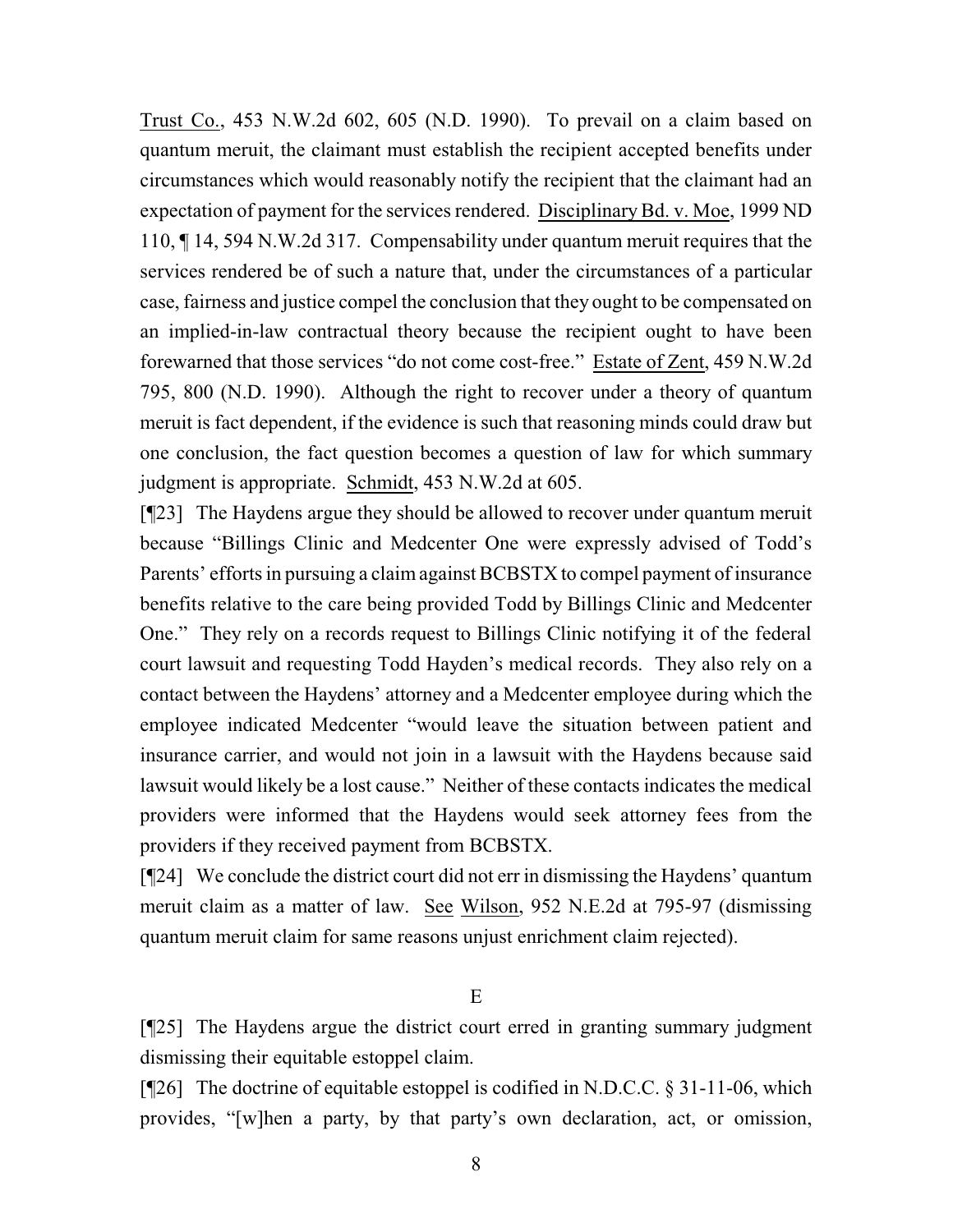Trust Co., 453 N.W.2d 602, 605 (N.D. 1990). To prevail on a claim based on quantum meruit, the claimant must establish the recipient accepted benefits under circumstances which would reasonably notify the recipient that the claimant had an expectation of payment for the services rendered. Disciplinary Bd. v. Moe, 1999 ND 110, ¶ 14, 594 N.W.2d 317. Compensability under quantum meruit requires that the services rendered be of such a nature that, under the circumstances of a particular case, fairness and justice compel the conclusion that they ought to be compensated on an implied-in-law contractual theory because the recipient ought to have been forewarned that those services "do not come cost-free." Estate of Zent, 459 N.W.2d 795, 800 (N.D. 1990). Although the right to recover under a theory of quantum meruit is fact dependent, if the evidence is such that reasoning minds could draw but one conclusion, the fact question becomes a question of law for which summary judgment is appropriate. Schmidt, 453 N.W.2d at 605.

[¶23] The Haydens argue they should be allowed to recover under quantum meruit because "Billings Clinic and Medcenter One were expressly advised of Todd's Parents' efforts in pursuing a claim against BCBSTX to compel payment of insurance benefits relative to the care being provided Todd by Billings Clinic and Medcenter One." They rely on a records request to Billings Clinic notifying it of the federal court lawsuit and requesting Todd Hayden's medical records. They also rely on a contact between the Haydens' attorney and a Medcenter employee during which the employee indicated Medcenter "would leave the situation between patient and insurance carrier, and would not join in a lawsuit with the Haydens because said lawsuit would likely be a lost cause." Neither of these contacts indicates the medical providers were informed that the Haydens would seek attorney fees from the providers if they received payment from BCBSTX.

[¶24] We conclude the district court did not err in dismissing the Haydens' quantum meruit claim as a matter of law. See Wilson, 952 N.E.2d at 795-97 (dismissing quantum meruit claim for same reasons unjust enrichment claim rejected).

E

[¶25] The Haydens argue the district court erred in granting summary judgment dismissing their equitable estoppel claim.

[ $[26]$ ] The doctrine of equitable estoppel is codified in N.D.C.C. § 31-11-06, which provides, "[w]hen a party, by that party's own declaration, act, or omission,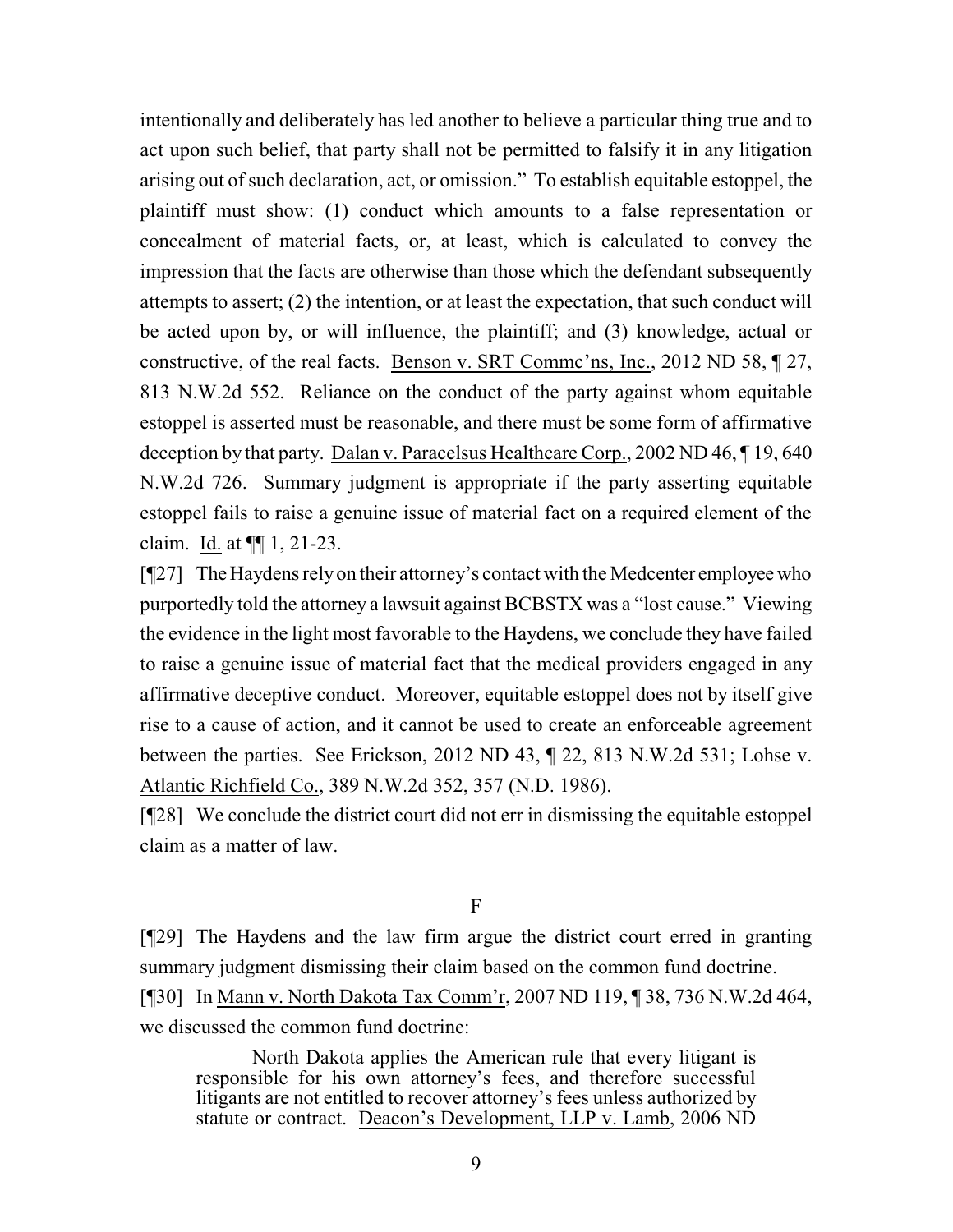intentionally and deliberately has led another to believe a particular thing true and to act upon such belief, that party shall not be permitted to falsify it in any litigation arising out of such declaration, act, or omission." To establish equitable estoppel, the plaintiff must show: (1) conduct which amounts to a false representation or concealment of material facts, or, at least, which is calculated to convey the impression that the facts are otherwise than those which the defendant subsequently attempts to assert; (2) the intention, or at least the expectation, that such conduct will be acted upon by, or will influence, the plaintiff; and (3) knowledge, actual or constructive, of the real facts. Benson v. SRT Commc'ns, Inc., 2012 ND 58, ¶ 27, 813 N.W.2d 552. Reliance on the conduct of the party against whom equitable estoppel is asserted must be reasonable, and there must be some form of affirmative deception by that party. Dalan v. Paracelsus Healthcare Corp., 2002 ND 46, ¶ 19, 640 N.W.2d 726. Summary judgment is appropriate if the party asserting equitable estoppel fails to raise a genuine issue of material fact on a required element of the claim. Id. at ¶¶ 1, 21-23.

[¶27] TheHaydens relyon their attorney's contact with the Medcenter employeewho purportedly told the attorney a lawsuit against BCBSTX was a "lost cause." Viewing the evidence in the light most favorable to the Haydens, we conclude they have failed to raise a genuine issue of material fact that the medical providers engaged in any affirmative deceptive conduct. Moreover, equitable estoppel does not by itself give rise to a cause of action, and it cannot be used to create an enforceable agreement between the parties. See Erickson, 2012 ND 43, ¶ 22, 813 N.W.2d 531; Lohse v. Atlantic Richfield Co., 389 N.W.2d 352, 357 (N.D. 1986).

[¶28] We conclude the district court did not err in dismissing the equitable estoppel claim as a matter of law.

F

[¶29] The Haydens and the law firm argue the district court erred in granting summary judgment dismissing their claim based on the common fund doctrine. [¶30] In Mann v. North Dakota Tax Comm'r, 2007 ND 119, ¶ 38, 736 N.W.2d 464, we discussed the common fund doctrine:

North Dakota applies the American rule that every litigant is responsible for his own attorney's fees, and therefore successful litigants are not entitled to recover attorney's fees unless authorized by statute or contract. Deacon's Development, LLP v. Lamb, 2006 ND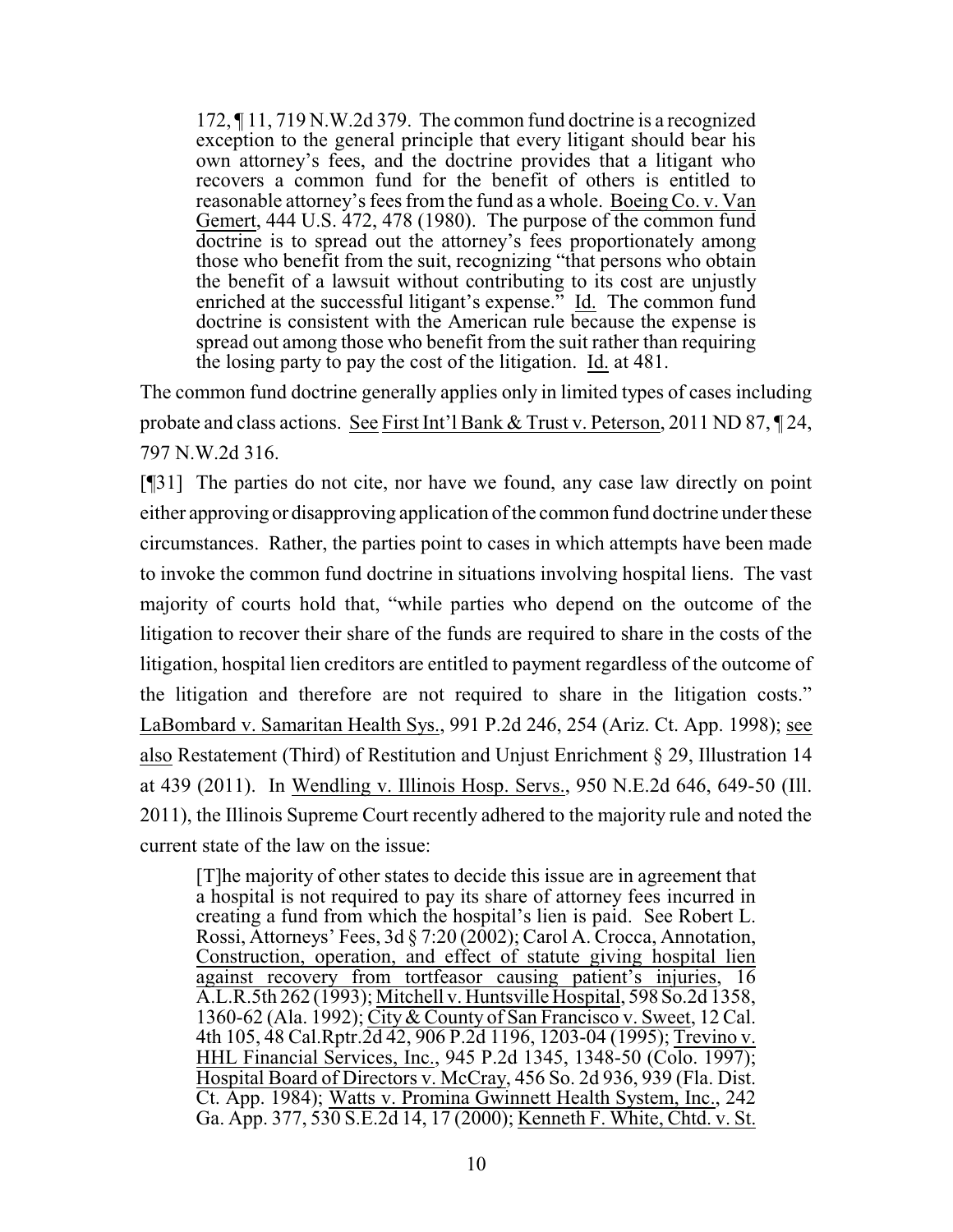172, ¶ 11, 719 N.W.2d 379. The common fund doctrine is a recognized exception to the general principle that every litigant should bear his own attorney's fees, and the doctrine provides that a litigant who recovers a common fund for the benefit of others is entitled to reasonable attorney's fees from the fund as a whole. Boeing Co. v. Van Gemert, 444 U.S. 472, 478 (1980). The purpose of the common fund doctrine is to spread out the attorney's fees proportionately among those who benefit from the suit, recognizing "that persons who obtain the benefit of a lawsuit without contributing to its cost are unjustly enriched at the successful litigant's expense." Id. The common fund doctrine is consistent with the American rule because the expense is spread out among those who benefit from the suit rather than requiring the losing party to pay the cost of the litigation. Id. at 481.

The common fund doctrine generally applies only in limited types of cases including probate and class actions. See First Int'l Bank & Trust v. Peterson, 2011 ND 87, 124, 797 N.W.2d 316.

[¶31] The parties do not cite, nor have we found, any case law directly on point either approving or disapproving application of the common fund doctrine under these circumstances. Rather, the parties point to cases in which attempts have been made to invoke the common fund doctrine in situations involving hospital liens. The vast majority of courts hold that, "while parties who depend on the outcome of the litigation to recover their share of the funds are required to share in the costs of the litigation, hospital lien creditors are entitled to payment regardless of the outcome of the litigation and therefore are not required to share in the litigation costs." LaBombard v. Samaritan Health Sys., 991 P.2d 246, 254 (Ariz. Ct. App. 1998); see also Restatement (Third) of Restitution and Unjust Enrichment § 29, Illustration 14 at 439 (2011). In Wendling v. Illinois Hosp. Servs., 950 N.E.2d 646, 649-50 (Ill. 2011), the Illinois Supreme Court recently adhered to the majority rule and noted the current state of the law on the issue:

[T]he majority of other states to decide this issue are in agreement that a hospital is not required to pay its share of attorney fees incurred in creating a fund from which the hospital's lien is paid. See Robert L. Rossi, Attorneys' Fees, 3d § 7:20 (2002); Carol A. Crocca, Annotation, Construction, operation, and effect of statute giving hospital lien against recovery from tortfeasor causing patient's injuries, 16 A.L.R.5th 262 (1993); Mitchell v. Huntsville Hospital, 598So.2d 1358, 1360-62 (Ala. 1992); City& County of San Francisco v. Sweet, 12 Cal. 4th 105, 48 Cal.Rptr.2d 42, 906 P.2d 1196, 1203-04 (1995); Trevino v. HHL Financial Services, Inc., 945 P.2d 1345, 1348-50 (Colo. 1997); Hospital Board of Directors v. McCray, 456 So. 2d 936, 939 (Fla. Dist. Ct. App. 1984); Watts v. Promina Gwinnett Health System, Inc., 242 Ga. App. 377, 530 S.E.2d 14, 17 (2000); Kenneth F. White, Chtd. v. St.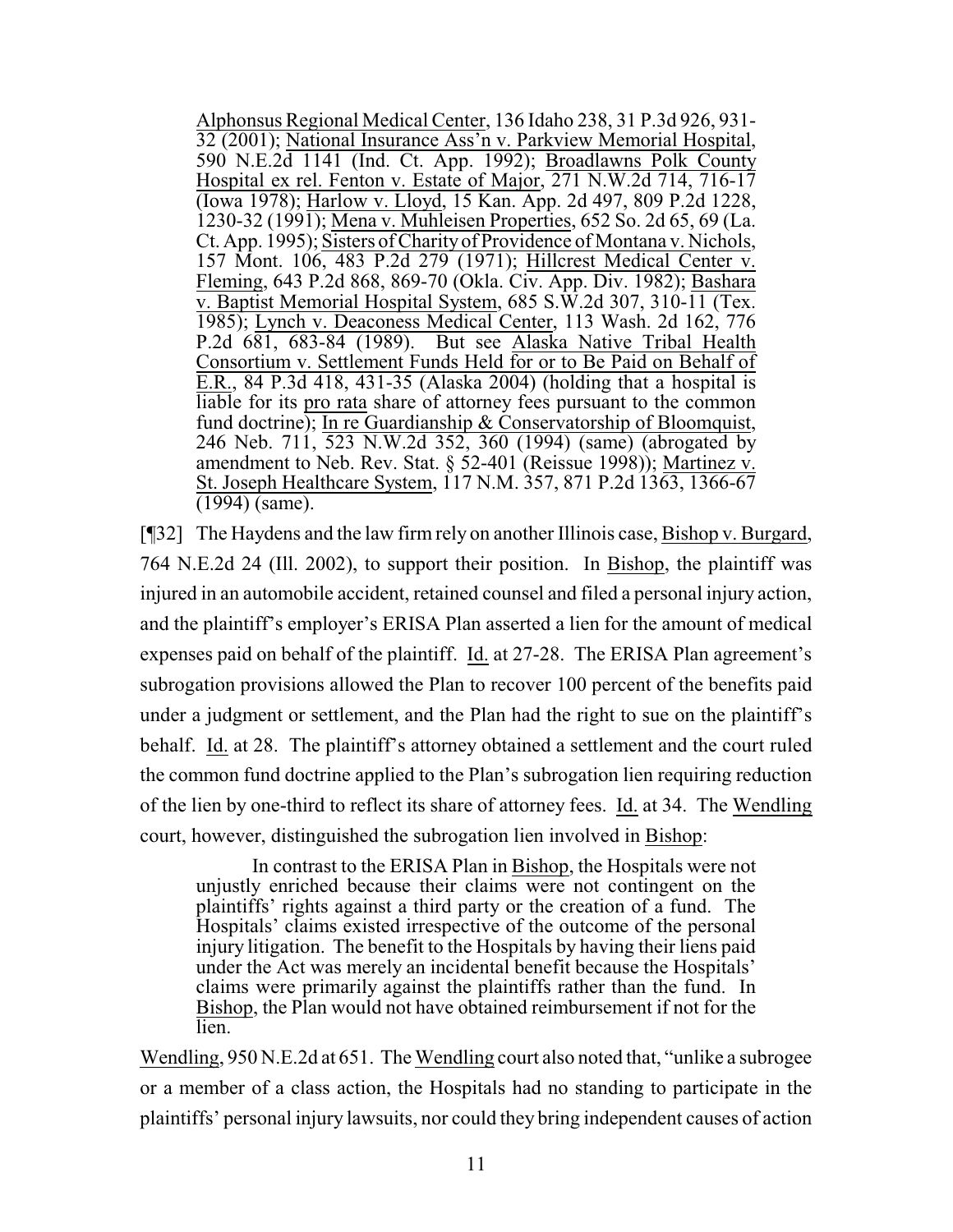Alphonsus Regional Medical Center, 136 Idaho 238, 31 P.3d 926, 931- 32 (2001); National Insurance Ass'n v. Parkview Memorial Hospital, 590 N.E.2d 1141 (Ind. Ct. App. 1992); Broadlawns Polk County Hospital ex rel. Fenton v. Estate of Major, 271 N.W.2d 714, 716-17 (Iowa 1978); Harlow v. Lloyd, 15 Kan. App. 2d 497, 809 P.2d 1228, 1230-32 (1991); Mena v. Muhleisen Properties, 652 So. 2d 65, 69 (La. Ct. App. 1995); Sisters ofCharityof Providence of Montana v. Nichols, 157 Mont. 106, 483 P.2d 279 (1971); Hillcrest Medical Center v. Fleming, 643 P.2d 868, 869-70 (Okla. Civ. App. Div. 1982); Bashara v. Baptist Memorial Hospital System, 685 S.W.2d 307, 310- $\overline{11}$  (Tex. 1985); Lynch v. Deaconess Medical Center, 113 Wash. 2d 162, 776 P.2d 681, 683-84 (1989). But see Alaska Native Tribal Health Consortium v. Settlement Funds Held for or to Be Paid on Behalf of E.R., 84 P.3d 418, 431-35 (Alaska 2004) (holding that a hospital is liable for its pro rata share of attorney fees pursuant to the common fund doctrine); In re Guardianship & Conservatorship of Bloomquist, 246 Neb. 711, 523 N.W.2d 352, 360 (1994) (same) (abrogated by amendment to Neb. Rev. Stat. § 52-401 (Reissue 1998)); Martinez v. St. Joseph Healthcare System, 117 N.M. 357, 871 P.2d 1363, 1366-67 (1994) (same).

[¶32] The Haydens and the law firm rely on another Illinois case, Bishop v. Burgard, 764 N.E.2d 24 (Ill. 2002), to support their position. In Bishop, the plaintiff was injured in an automobile accident, retained counsel and filed a personal injury action, and the plaintiff's employer's ERISA Plan asserted a lien for the amount of medical expenses paid on behalf of the plaintiff. Id. at 27-28. The ERISA Plan agreement's subrogation provisions allowed the Plan to recover 100 percent of the benefits paid under a judgment or settlement, and the Plan had the right to sue on the plaintiff's behalf. Id. at 28. The plaintiff's attorney obtained a settlement and the court ruled the common fund doctrine applied to the Plan's subrogation lien requiring reduction of the lien by one-third to reflect its share of attorney fees. Id. at 34. The Wendling court, however, distinguished the subrogation lien involved in Bishop:

In contrast to the ERISA Plan in Bishop, the Hospitals were not unjustly enriched because their claims were not contingent on the plaintiffs' rights against a third party or the creation of a fund. The Hospitals' claims existed irrespective of the outcome of the personal injury litigation. The benefit to the Hospitals by having their liens paid under the Act was merely an incidental benefit because the Hospitals' claims were primarily against the plaintiffs rather than the fund. In Bishop, the Plan would not have obtained reimbursement if not for the lien.

Wendling, 950 N.E.2d at 651. The Wendling court also noted that, "unlike a subrogee or a member of a class action, the Hospitals had no standing to participate in the plaintiffs' personal injury lawsuits, nor could they bring independent causes of action